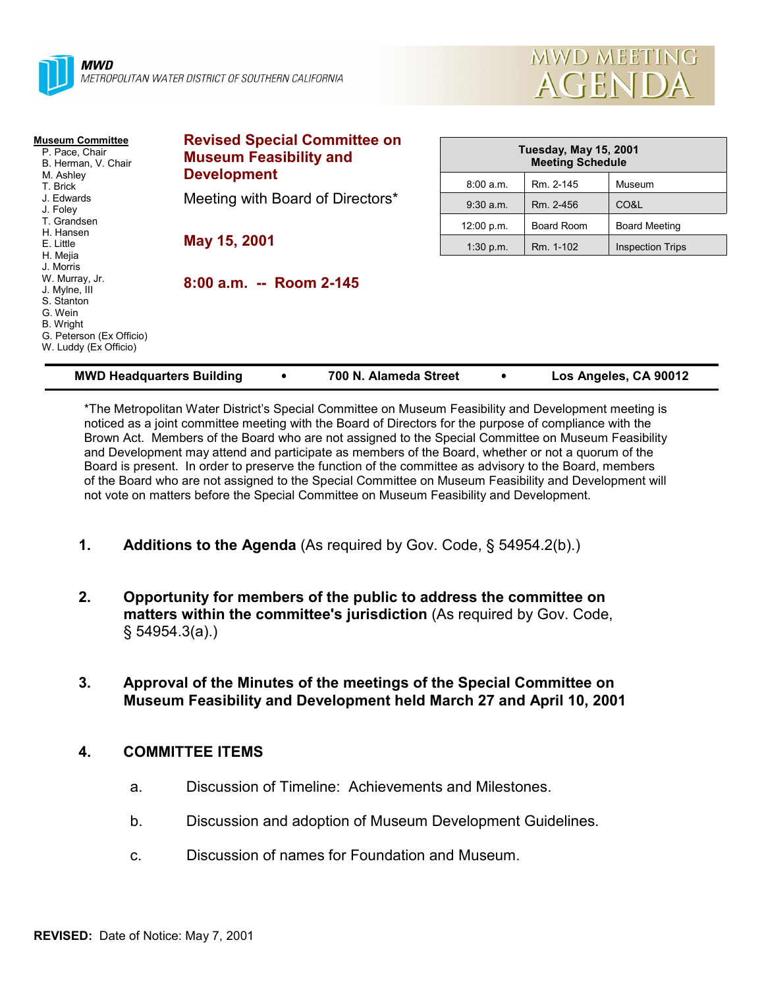



| <b>Museum Committee</b><br>P. Pace, Chair<br>B. Herman, V. Chair<br>M. Ashley<br>T. Brick<br>J. Edwards<br>J. Foley<br>T. Grandsen<br>H. Hansen | <b>Revised Special Committee on</b><br><b>Museum Feasibility and</b><br><b>Development</b><br>Meeting with Board of Directors*<br>May 15, 2001 | <b>Tuesday, May 15, 2001</b><br><b>Meeting Schedule</b> |            |                         |
|-------------------------------------------------------------------------------------------------------------------------------------------------|------------------------------------------------------------------------------------------------------------------------------------------------|---------------------------------------------------------|------------|-------------------------|
|                                                                                                                                                 |                                                                                                                                                | 8:00 a.m.                                               | Rm. 2-145  | Museum                  |
|                                                                                                                                                 |                                                                                                                                                | $9:30$ a.m.                                             | Rm. 2-456  | CO&L                    |
|                                                                                                                                                 |                                                                                                                                                | 12:00 p.m.                                              | Board Room | <b>Board Meeting</b>    |
| E. Little<br>H. Mejia                                                                                                                           |                                                                                                                                                | 1:30 p.m.                                               | Rm. 1-102  | <b>Inspection Trips</b> |
| J. Morris<br>W. Murray, Jr.<br>J. Mylne, III<br>S. Stanton<br>G. Wein<br><b>B.</b> Wright<br>G. Peterson (Ex Officio)<br>W. Luddy (Ex Officio)  | 8:00 a.m. -- Room 2-145                                                                                                                        |                                                         |            |                         |

\*The Metropolitan Water Districtís Special Committee on Museum Feasibility and Development meeting is noticed as a joint committee meeting with the Board of Directors for the purpose of compliance with the Brown Act. Members of the Board who are not assigned to the Special Committee on Museum Feasibility and Development may attend and participate as members of the Board, whether or not a quorum of the Board is present. In order to preserve the function of the committee as advisory to the Board, members of the Board who are not assigned to the Special Committee on Museum Feasibility and Development will not vote on matters before the Special Committee on Museum Feasibility and Development.

**MWD Headquarters Building** ! **700 N. Alameda Street** ! **Los Angeles, CA 90012**

- **1. Additions to the Agenda** (As required by Gov. Code, ß 54954.2(b).)
- **2. Opportunity for members of the public to address the committee on matters within the committee's jurisdiction** (As required by Gov. Code, ß 54954.3(a).)
- **3. Approval of the Minutes of the meetings of the Special Committee on Museum Feasibility and Development held March 27 and April 10, 2001**

## **4. COMMITTEE ITEMS**

- a. Discussion of Timeline: Achievements and Milestones.
- b. Discussion and adoption of Museum Development Guidelines.
- c. Discussion of names for Foundation and Museum.